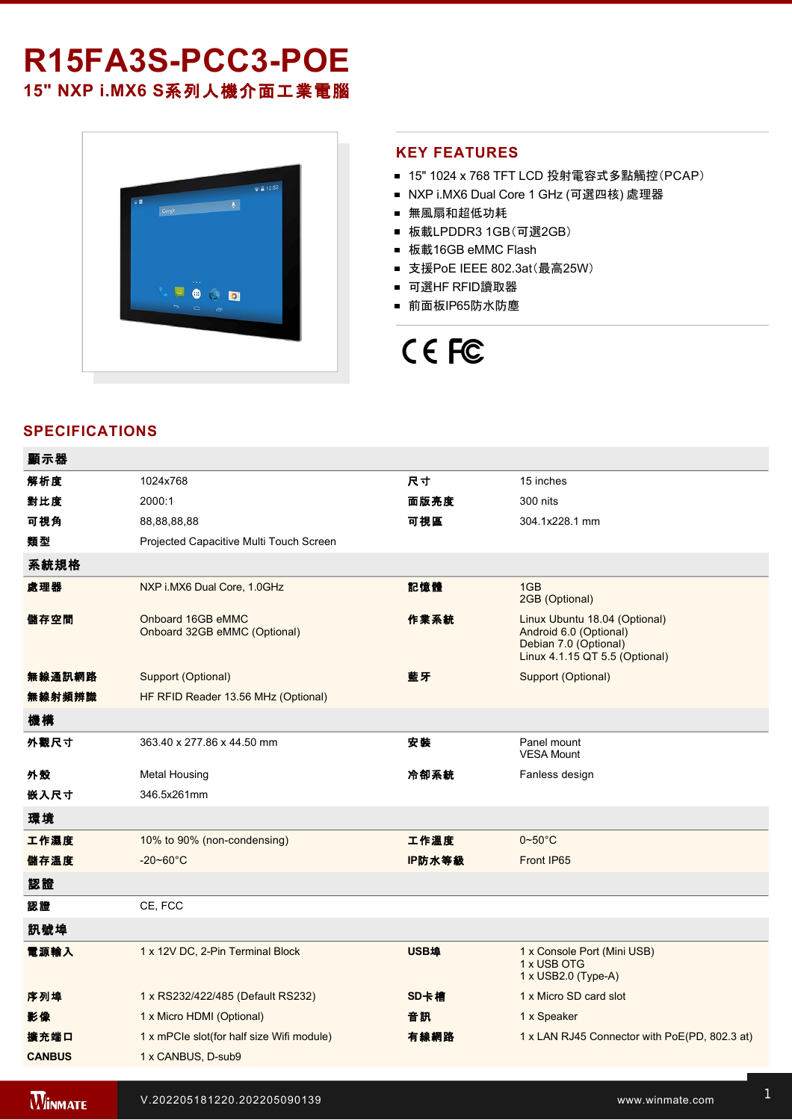# R15FA3S-PCC3-POE **15" NXP i.MX6 S**系列人機介面工業電腦



## **KEY FEATURES**

- 15" 1024 x 768 TFT LCD 投射電容式多點觸控(PCAP)
- NXP i.MX6 Dual Core 1 GHz (可選四核) 處理器
- 無風扇和超低功耗
- 板載LPDDR3 1GB(可選2GB)
- 板載16GB eMMC Flash
- 支援PoE IEEE 802.3at(最高25W)
- 可選HF RFID讀取器
- 前面板IP65防水防塵

# CE FC

# **SPECIFICATIONS**

 $x - \alpha$ 

| 觀示益           |                                                   |             |                                                                                                                    |
|---------------|---------------------------------------------------|-------------|--------------------------------------------------------------------------------------------------------------------|
| 解析度           | 1024x768                                          | 尺寸          | 15 inches                                                                                                          |
| 對比度           | 2000:1                                            | 面版亮度        | 300 nits                                                                                                           |
| 可視角           | 88, 88, 88, 88                                    | 可視區         | 304.1x228.1 mm                                                                                                     |
| 類型            | Projected Capacitive Multi Touch Screen           |             |                                                                                                                    |
| 系統規格          |                                                   |             |                                                                                                                    |
| 處理器           | NXP i.MX6 Dual Core, 1.0GHz                       | 記憶體         | 1GB<br>2GB (Optional)                                                                                              |
| 儲存空間          | Onboard 16GB eMMC<br>Onboard 32GB eMMC (Optional) | 作業系統        | Linux Ubuntu 18.04 (Optional)<br>Android 6.0 (Optional)<br>Debian 7.0 (Optional)<br>Linux 4.1.15 QT 5.5 (Optional) |
| 無線通訊網路        | Support (Optional)                                | 藍牙          | Support (Optional)                                                                                                 |
| 無線射頻辨識        | HF RFID Reader 13.56 MHz (Optional)               |             |                                                                                                                    |
| 機構            |                                                   |             |                                                                                                                    |
| 外觀尺寸          | 363.40 x 277.86 x 44.50 mm                        | 安裝          | Panel mount<br><b>VESA Mount</b>                                                                                   |
| 外殼            | Metal Housing                                     | 冷卻系統        | Fanless design                                                                                                     |
| 嵌入尺寸          | 346.5x261mm                                       |             |                                                                                                                    |
| 環境            |                                                   |             |                                                                                                                    |
| 工作濕度          | 10% to 90% (non-condensing)                       | 工作溫度        | $0\negthinspace\negthinspace\negthinspace 50^{\circ}\mathrm{C}$                                                    |
| 儲存溫度          | $-20 - 60^{\circ}$ C                              | IP防水等級      | Front IP65                                                                                                         |
| 認證            |                                                   |             |                                                                                                                    |
| 認證            | CE, FCC                                           |             |                                                                                                                    |
| 訊號埠           |                                                   |             |                                                                                                                    |
| 電源輸入          | 1 x 12V DC, 2-Pin Terminal Block                  | <b>USB埠</b> | 1 x Console Port (Mini USB)<br>1 x USB OTG<br>1 x USB2.0 (Type-A)                                                  |
| 序列埠           | 1 x RS232/422/485 (Default RS232)                 | SD卡槽        | 1 x Micro SD card slot                                                                                             |
| 影像            | 1 x Micro HDMI (Optional)                         | 音訊          | 1 x Speaker                                                                                                        |
| 擴充端口          | 1 x mPCIe slot(for half size Wifi module)         | 有線網路        | 1 x LAN RJ45 Connector with PoE(PD, 802.3 at)                                                                      |
| <b>CANBUS</b> | 1 x CANBUS, D-sub9                                |             |                                                                                                                    |
|               |                                                   |             |                                                                                                                    |

Power Cord